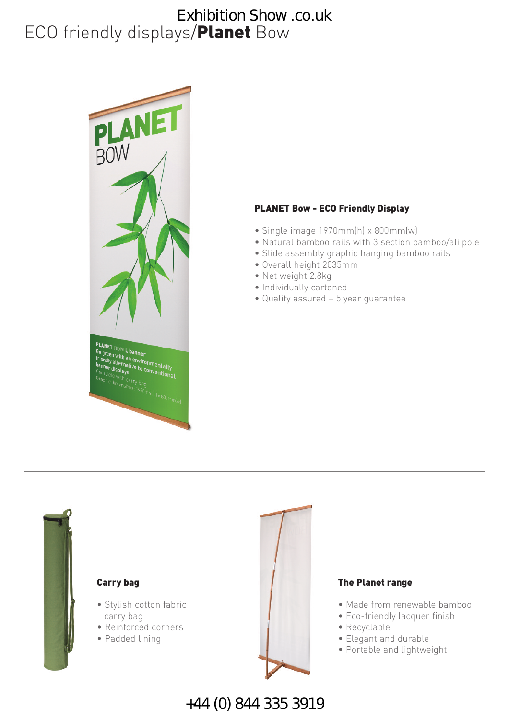## ECO friendly displays/**Planet** Bow Exhibition Show .co.uk



#### **PLANET Bow - ECO Friendly Display**

- Single image 1970mm(h) x 800mm(w)
- Natural bamboo rails with 3 section bamboo/ali pole
- Slide assembly graphic hanging bamboo rails
- Overall height 2035mm
- Net weight 2.8kg
- Individually cartoned
- Quality assured 5 year guarantee



#### **Carry bag**

- Stylish cotton fabric carry bag
- Reinforced corners
- Padded lining



#### **The Planet range**

- Made from renewable bamboo
- Eco-friendly lacquer finish
- Recyclable
- Elegant and durable
- Portable and lightweight

+44 (0) 844 335 3919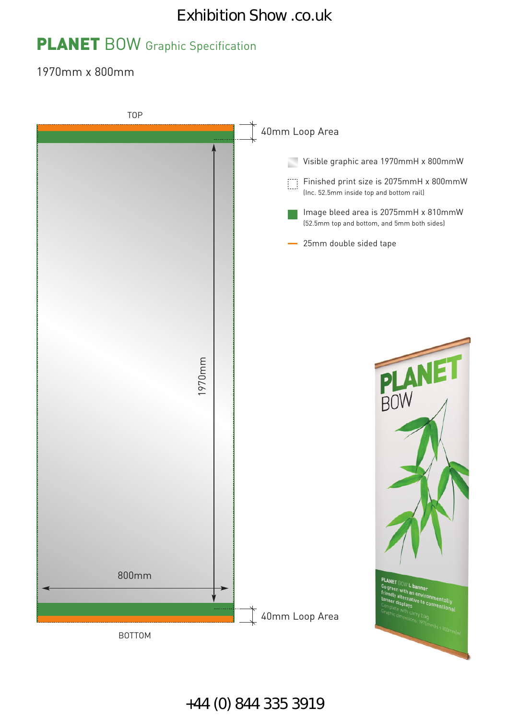## Exhibition Show .co.uk

# **PLANET** BOW Graphic Specification

1970mm x 800mm



+44 (0) 844 335 3919